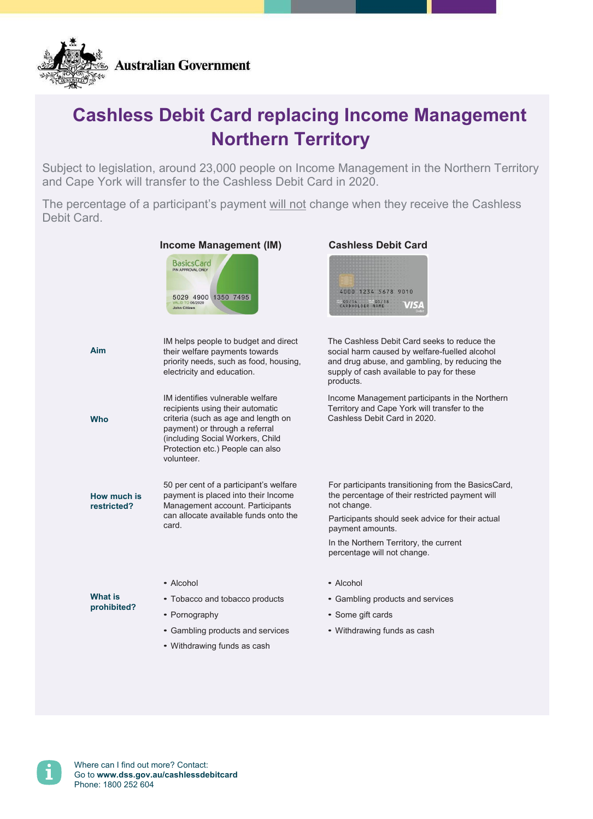

## **Cashless Debit Card replacing Income Management Northern Territory**

Subject to legislation, around 23,000 people on Income Management in the Northern Territory and Cape York will transfer to the Cashless Debit Card in 2020.

The percentage of a participant's payment will not change when they receive the Cashless Debit Card.

|                            | BasicsCard<br>5029 4900 1350 7495<br><b>VALID TO 06/2020</b><br>John Citizen                                                                                                                                                        | 4000 1234 5678 9010<br>COS/14 805/18<br>CARDHOLDER NAME                                                                                                                                                                                                                |
|----------------------------|-------------------------------------------------------------------------------------------------------------------------------------------------------------------------------------------------------------------------------------|------------------------------------------------------------------------------------------------------------------------------------------------------------------------------------------------------------------------------------------------------------------------|
| Aim                        | IM helps people to budget and direct<br>their welfare payments towards<br>priority needs, such as food, housing,<br>electricity and education.                                                                                      | The Cashless Debit Card seeks to reduce the<br>social harm caused by welfare-fuelled alcohol<br>and drug abuse, and gambling, by reducing the<br>supply of cash available to pay for these<br>products.                                                                |
| <b>Who</b>                 | IM identifies vulnerable welfare<br>recipients using their automatic<br>criteria (such as age and length on<br>payment) or through a referral<br>(including Social Workers, Child<br>Protection etc.) People can also<br>volunteer. | Income Management participants in the Northern<br>Territory and Cape York will transfer to the<br>Cashless Debit Card in 2020.                                                                                                                                         |
| How much is<br>restricted? | 50 per cent of a participant's welfare<br>payment is placed into their Income<br>Management account. Participants<br>can allocate available funds onto the<br>card.                                                                 | For participants transitioning from the BasicsCard,<br>the percentage of their restricted payment will<br>not change.<br>Participants should seek advice for their actual<br>payment amounts.<br>In the Northern Territory, the current<br>percentage will not change. |
| What is<br>prohibited?     | • Alcohol<br>• Tobacco and tobacco products<br>• Pornography<br>• Gambling products and services<br>• Withdrawing funds as cash                                                                                                     | • Alcohol<br>• Gambling products and services<br>• Some gift cards<br>• Withdrawing funds as cash                                                                                                                                                                      |

## **Income Management (IM) Cashless Debit Card**